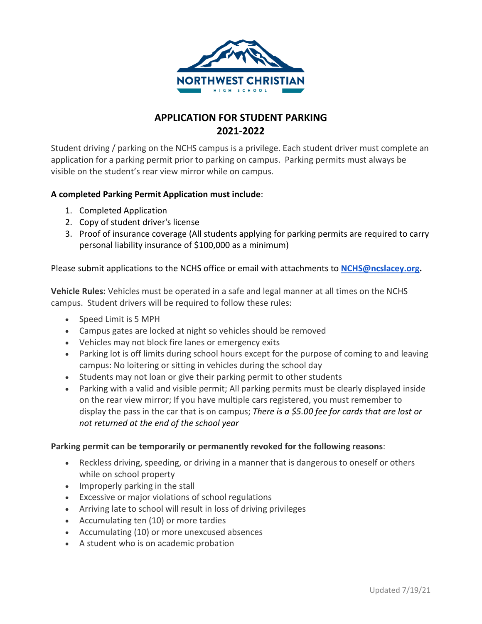

# **APPLICATION FOR STUDENT PARKING 2021-2022**

Student driving / parking on the NCHS campus is a privilege. Each student driver must complete an application for a parking permit prior to parking on campus. Parking permits must always be visible on the student's rear view mirror while on campus.

### **A completed Parking Permit Application must include**:

- 1. Completed Application
- 2. Copy of student driver's license
- 3. Proof of insurance coverage (All students applying for parking permits are required to carry personal liability insurance of \$100,000 as a minimum)

### Please submit applications to the NCHS office or email with attachments to **[NCHS@ncslacey.org.](mailto:NCHS@ncslacey.org)**

**Vehicle Rules:** Vehicles must be operated in a safe and legal manner at all times on the NCHS campus. Student drivers will be required to follow these rules:

- Speed Limit is 5 MPH
- Campus gates are locked at night so vehicles should be removed
- Vehicles may not block fire lanes or emergency exits
- Parking lot is off limits during school hours except for the purpose of coming to and leaving campus: No loitering or sitting in vehicles during the school day
- Students may not loan or give their parking permit to other students
- Parking with a valid and visible permit; All parking permits must be clearly displayed inside on the rear view mirror; If you have multiple cars registered, you must remember to display the pass in the car that is on campus; *There is a \$5.00 fee for cards that are lost or not returned at the end of the school year*

#### **Parking permit can be temporarily or permanently revoked for the following reasons**:

- Reckless driving, speeding, or driving in a manner that is dangerous to oneself or others while on school property
- Improperly parking in the stall
- Excessive or major violations of school regulations
- Arriving late to school will result in loss of driving privileges
- Accumulating ten (10) or more tardies
- Accumulating (10) or more unexcused absences
- A student who is on academic probation